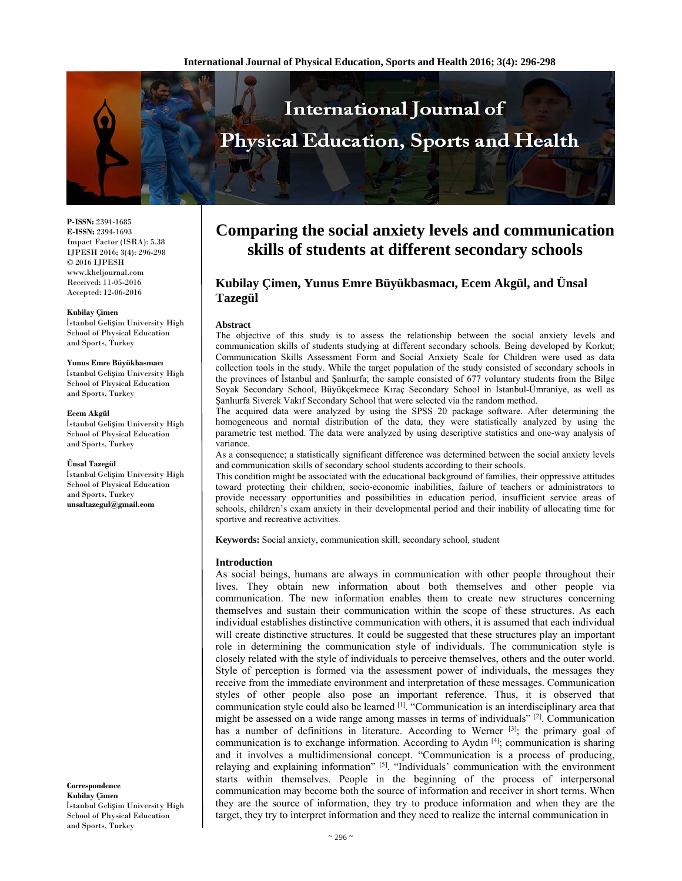

**P-ISSN:** 2394-1685 **E-ISSN:** 2394-1693 Impact Factor (ISRA): 5.38 IJPESH 2016; 3(4): 296-298 © 2016 IJPESH www.kheljournal.com Received: 11-05-2016 Accepted: 12-06-2016

#### **Kubilay Çimen**

İstanbul Gelişim University High School of Physical Education and Sports, Turkey

#### **Yunus Emre Büyükbasmacı**

İstanbul Gelişim University High School of Physical Education and Sports, Turkey

#### **Ecem Akgül**

İstanbul Gelişim University High School of Physical Education and Sports, Turkey

#### **Ünsal Tazegül**

İstanbul Gelişim University High School of Physical Education and Sports, Turkey **unsaltazegul@gmail.com** 

**Correspondence Kubilay Çimen**  İstanbul Gelişim University High School of Physical Education and Sports, Turkey

# **Comparing the social anxiety levels and communication skills of students at different secondary schools**

## **Kubilay Çimen, Yunus Emre Büyükbasmacı, Ecem Akgül, and Ünsal Tazegül**

#### **Abstract**

The objective of this study is to assess the relationship between the social anxiety levels and communication skills of students studying at different secondary schools. Being developed by Korkut; Communication Skills Assessment Form and Social Anxiety Scale for Children were used as data collection tools in the study. While the target population of the study consisted of secondary schools in the provinces of İstanbul and Şanlıurfa; the sample consisted of 677 voluntary students from the Bilge Soyak Secondary School, Büyükçekmece Kıraç Secondary School in İstanbul-Ümraniye, as well as Şanlıurfa Siverek Vakıf Secondary School that were selected via the random method.

The acquired data were analyzed by using the SPSS 20 package software. After determining the homogeneous and normal distribution of the data, they were statistically analyzed by using the parametric test method. The data were analyzed by using descriptive statistics and one-way analysis of variance.

As a consequence; a statistically significant difference was determined between the social anxiety levels and communication skills of secondary school students according to their schools.

This condition might be associated with the educational background of families, their oppressive attitudes toward protecting their children, socio-economic inabilities, failure of teachers or administrators to provide necessary opportunities and possibilities in education period, insufficient service areas of schools, children's exam anxiety in their developmental period and their inability of allocating time for sportive and recreative activities.

**Keywords:** Social anxiety, communication skill, secondary school, student

#### **Introduction**

As social beings, humans are always in communication with other people throughout their lives. They obtain new information about both themselves and other people via communication. The new information enables them to create new structures concerning themselves and sustain their communication within the scope of these structures. As each individual establishes distinctive communication with others, it is assumed that each individual will create distinctive structures. It could be suggested that these structures play an important role in determining the communication style of individuals. The communication style is closely related with the style of individuals to perceive themselves, others and the outer world. Style of perception is formed via the assessment power of individuals, the messages they receive from the immediate environment and interpretation of these messages. Communication styles of other people also pose an important reference. Thus, it is observed that communication style could also be learned [1]. "Communication is an interdisciplinary area that might be assessed on a wide range among masses in terms of individuals"  $[2]$ . Communication has a number of definitions in literature. According to Werner [3]; the primary goal of communication is to exchange information. According to Aydın  $[4]$ ; communication is sharing and it involves a multidimensional concept. "Communication is a process of producing, relaying and explaining information"  $[5]$ . "Individuals' communication with the environment starts within themselves. People in the beginning of the process of interpersonal communication may become both the source of information and receiver in short terms. When they are the source of information, they try to produce information and when they are the target, they try to interpret information and they need to realize the internal communication in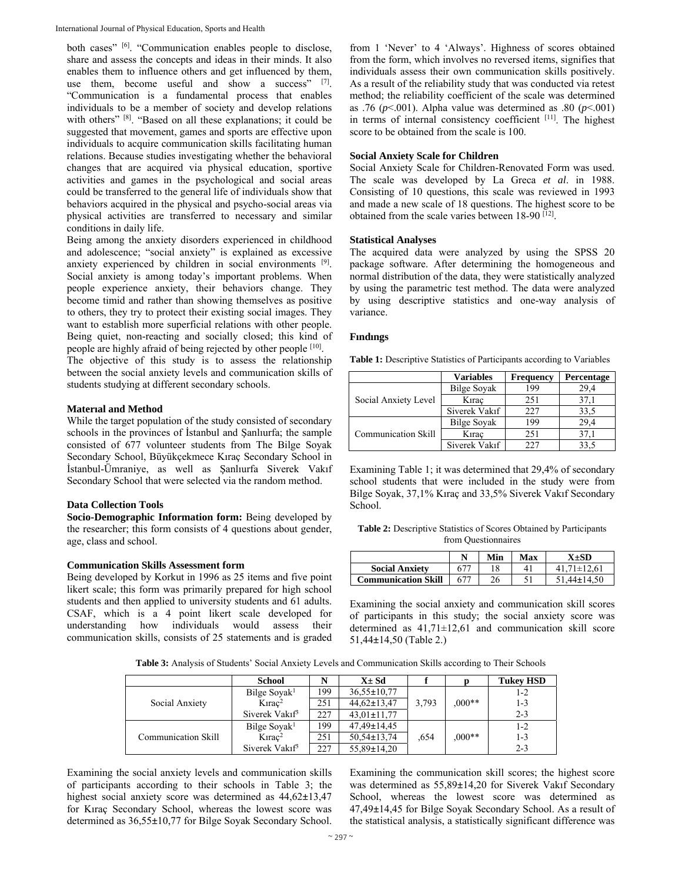both cases" [6]. "Communication enables people to disclose, share and assess the concepts and ideas in their minds. It also enables them to influence others and get influenced by them, use them, become useful and show a success" [7]. "Communication is a fundamental process that enables individuals to be a member of society and develop relations with others" [8]. "Based on all these explanations; it could be suggested that movement, games and sports are effective upon individuals to acquire communication skills facilitating human relations. Because studies investigating whether the behavioral changes that are acquired via physical education, sportive activities and games in the psychological and social areas could be transferred to the general life of individuals show that behaviors acquired in the physical and psycho-social areas via physical activities are transferred to necessary and similar conditions in daily life.

Being among the anxiety disorders experienced in childhood and adolescence; "social anxiety" is explained as excessive anxiety experienced by children in social environments [9]. Social anxiety is among today's important problems. When people experience anxiety, their behaviors change. They become timid and rather than showing themselves as positive to others, they try to protect their existing social images. They want to establish more superficial relations with other people. Being quiet, non-reacting and socially closed; this kind of people are highly afraid of being rejected by other people [10].

The objective of this study is to assess the relationship between the social anxiety levels and communication skills of students studying at different secondary schools.

## **Materıal and Method**

While the target population of the study consisted of secondary schools in the provinces of İstanbul and Şanlıurfa; the sample consisted of 677 volunteer students from The Bilge Soyak Secondary School, Büyükçekmece Kıraç Secondary School in İstanbul-Ümraniye, as well as Şanlıurfa Siverek Vakıf Secondary School that were selected via the random method.

## **Data Collection Tools**

**Socio-Demographic Information form:** Being developed by the researcher; this form consists of 4 questions about gender, age, class and school.

## **Communication Skills Assessment form**

Being developed by Korkut in 1996 as 25 items and five point likert scale; this form was primarily prepared for high school students and then applied to university students and 61 adults. CSAF, which is a 4 point likert scale developed for understanding how individuals would assess their communication skills, consists of 25 statements and is graded from 1 'Never' to 4 'Always'. Highness of scores obtained from the form, which involves no reversed items, signifies that individuals assess their own communication skills positively. As a result of the reliability study that was conducted via retest method; the reliability coefficient of the scale was determined as .76 ( $p$ <.001). Alpha value was determined as .80 ( $p$ <.001) in terms of internal consistency coefficient [11]. The highest score to be obtained from the scale is 100.

#### **Social Anxiety Scale for Children**

Social Anxiety Scale for Children-Renovated Form was used. The scale was developed by La Greca *et al*. in 1988. Consisting of 10 questions, this scale was reviewed in 1993 and made a new scale of 18 questions. The highest score to be obtained from the scale varies between  $18-90$  [12].

## **Statistical Analyses**

The acquired data were analyzed by using the SPSS 20 package software. After determining the homogeneous and normal distribution of the data, they were statistically analyzed by using the parametric test method. The data were analyzed by using descriptive statistics and one-way analysis of variance.

## **Fındıngs**

**Table 1:** Descriptive Statistics of Participants according to Variables

|                      | <b>Variables</b>   | <b>Frequency</b> | Percentage |
|----------------------|--------------------|------------------|------------|
| Social Anxiety Level | <b>Bilge Soyak</b> | 199              | 29.4       |
|                      | Kirac              | 251              | 37.1       |
|                      | Siverek Vakıf      | 227              | 33,5       |
| Communication Skill  | <b>Bilge Soyak</b> | 199              | 29.4       |
|                      | Kırac              | 251              | 37.1       |
|                      | Siverek Vakıf      | 227              | 33.5       |

Examining Table 1; it was determined that 29,4% of secondary school students that were included in the study were from Bilge Soyak, 37,1% Kıraç and 33,5% Siverek Vakıf Secondary School.

**Table 2:** Descriptive Statistics of Scores Obtained by Participants from Questionnaires

|                            |              | Min | Max | X+SD      |
|----------------------------|--------------|-----|-----|-----------|
| <b>Social Anxiety</b>      | $67^{\circ}$ |     | 41  | .71±12.61 |
| <b>Communication Skill</b> |              | 26  |     | .44±14.50 |

Examining the social anxiety and communication skill scores of participants in this study; the social anxiety score was determined as 41,71±12,61 and communication skill score 51,44**±**14,50 (Table 2.)

**Table 3:** Analysis of Students' Social Anxiety Levels and Communication Skills according to Their Schools

|                     | <b>School</b>              | N   | $X \pm Sd$        |       |          | <b>Tukey HSD</b> |
|---------------------|----------------------------|-----|-------------------|-------|----------|------------------|
| Social Anxiety      | Bilge Soyak <sup>1</sup>   | 199 | $36.55 \pm 10.77$ |       |          | $1 - 2$          |
|                     | $K \text{ar}^2$            | 251 | $44,62 \pm 13,47$ | 3,793 | $0.00**$ | 1-3              |
|                     | Siverek Vakıf <sup>3</sup> | 227 | $43,01 \pm 11,77$ |       |          | $2 - 3$          |
| Communication Skill | Bilge Soyak <sup>1</sup>   | 199 | $47,49 \pm 14,45$ |       |          | $1 - 2$          |
|                     | $K \text{ar}^2$            | 251 | $50,54\pm 13,74$  | .654  | $0.00**$ | 1-3              |
|                     | Siverek Vakıf <sup>3</sup> | 227 | $55,89\pm14,20$   |       |          | $2 - 3$          |

Examining the social anxiety levels and communication skills of participants according to their schools in Table 3; the highest social anxiety score was determined as 44,62**±**13,47 for Kıraç Secondary School, whereas the lowest score was determined as 36,55**±**10,77 for Bilge Soyak Secondary School.

Examining the communication skill scores; the highest score was determined as 55,89**±**14,20 for Siverek Vakıf Secondary School, whereas the lowest score was determined as 47,49**±**14,45 for Bilge Soyak Secondary School. As a result of the statistical analysis, a statistically significant difference was